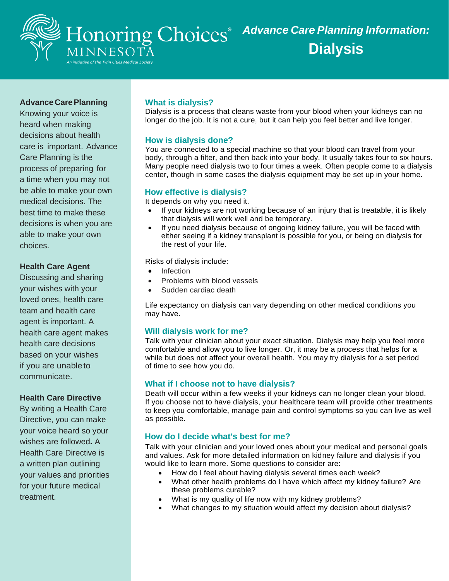

## **Advance Care Planning**

Knowing your voice is heard when making decisions about health care is important. Advance Care Planning is the process of preparing for a time when you may not be able to make your own medical decisions. The best time to make these decisions is when you are able to make your own choices.

### **Health Care Agent**

Discussing and sharing your wishes with your loved ones, health care team and health care agent is important. A health care agent makes health care decisions based on your wishes if you are unableto communicate.

### **Health Care Directive**

By writing a Health Care Directive, you can make your voice heard so your wishes are followed**.** A Health Care Directive is a written plan outlining your values and priorities for your future medical treatment.

# **What is dialysis?**

Dialysis is a process that cleans waste from your blood when your kidneys can no longer do the job. It is not a cure, but it can help you feel better and live longer.

#### **How is dialysis done?**

You are connected to a special machine so that your blood can travel from your body, through a filter, and then back into your body. It usually takes four to six hours. Many people need dialysis two to four times a week. Often people come to a dialysis center, though in some cases the dialysis equipment may be set up in your home.

#### **How effective is dialysis?**

It depends on why you need it.

- If your kidneys are not working because of an injury that is treatable, it is likely that dialysis will work well and be temporary.
- If you need dialysis because of ongoing kidney failure, you will be faced with either seeing if a kidney transplant is possible for you, or being on dialysis for the rest of your life.

Risks of dialysis include:

- **Infection**
- Problems with blood vessels
- Sudden cardiac death

Life expectancy on dialysis can vary depending on other medical conditions you may have.

### **Will dialysis work for me?**

Talk with your clinician about your exact situation. Dialysis may help you feel more comfortable and allow you to live longer. Or, it may be a process that helps for a while but does not affect your overall health. You may try dialysis for a set period of time to see how you do.

### **What if I choose not to have dialysis?**

Death will occur within a few weeks if your kidneys can no longer clean your blood. If you choose not to have dialysis, your healthcare team will provide other treatments to keep you comfortable, manage pain and control symptoms so you can live as well as possible.

### **How do I decide what's best for me?**

Talk with your clinician and your loved ones about your medical and personal goals and values. Ask for more detailed information on kidney failure and dialysis if you would like to learn more. Some questions to consider are:

- How do I feel about having dialysis several times each week?
- What other health problems do I have which affect my kidney failure? Are these problems curable?
- What is my quality of life now with my kidney problems?
- What changes to my situation would affect my decision about dialysis?